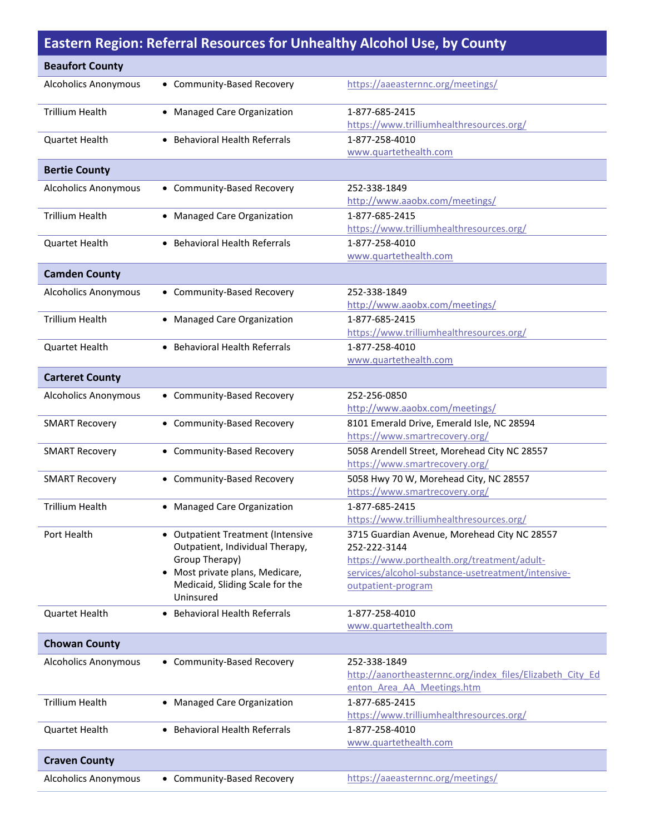## **Eastern Region: Referral Resources for Unhealthy Alcohol Use, by County**

| <b>Beaufort County</b>      |                                                                                                                                                                              |                                                                                                                                                                                         |
|-----------------------------|------------------------------------------------------------------------------------------------------------------------------------------------------------------------------|-----------------------------------------------------------------------------------------------------------------------------------------------------------------------------------------|
| <b>Alcoholics Anonymous</b> | • Community-Based Recovery                                                                                                                                                   | https://aaeasternnc.org/meetings/                                                                                                                                                       |
| <b>Trillium Health</b>      | • Managed Care Organization                                                                                                                                                  | 1-877-685-2415<br>https://www.trilliumhealthresources.org/                                                                                                                              |
| Quartet Health              | • Behavioral Health Referrals                                                                                                                                                | 1-877-258-4010<br>www.quartethealth.com                                                                                                                                                 |
| <b>Bertie County</b>        |                                                                                                                                                                              |                                                                                                                                                                                         |
| <b>Alcoholics Anonymous</b> | • Community-Based Recovery                                                                                                                                                   | 252-338-1849<br>http://www.aaobx.com/meetings/                                                                                                                                          |
| <b>Trillium Health</b>      | • Managed Care Organization                                                                                                                                                  | 1-877-685-2415<br>https://www.trilliumhealthresources.org/                                                                                                                              |
| <b>Quartet Health</b>       | • Behavioral Health Referrals                                                                                                                                                | 1-877-258-4010<br>www.quartethealth.com                                                                                                                                                 |
| <b>Camden County</b>        |                                                                                                                                                                              |                                                                                                                                                                                         |
| <b>Alcoholics Anonymous</b> | • Community-Based Recovery                                                                                                                                                   | 252-338-1849<br>http://www.aaobx.com/meetings/                                                                                                                                          |
| <b>Trillium Health</b>      | • Managed Care Organization                                                                                                                                                  | 1-877-685-2415<br>https://www.trilliumhealthresources.org/                                                                                                                              |
| <b>Quartet Health</b>       | • Behavioral Health Referrals                                                                                                                                                | 1-877-258-4010<br>www.quartethealth.com                                                                                                                                                 |
| <b>Carteret County</b>      |                                                                                                                                                                              |                                                                                                                                                                                         |
| <b>Alcoholics Anonymous</b> | • Community-Based Recovery                                                                                                                                                   | 252-256-0850<br>http://www.aaobx.com/meetings/                                                                                                                                          |
| <b>SMART Recovery</b>       | • Community-Based Recovery                                                                                                                                                   | 8101 Emerald Drive, Emerald Isle, NC 28594<br>https://www.smartrecovery.org/                                                                                                            |
| <b>SMART Recovery</b>       | • Community-Based Recovery                                                                                                                                                   | 5058 Arendell Street, Morehead City NC 28557<br>https://www.smartrecovery.org/                                                                                                          |
| <b>SMART Recovery</b>       | • Community-Based Recovery                                                                                                                                                   | 5058 Hwy 70 W, Morehead City, NC 28557<br>https://www.smartrecovery.org/                                                                                                                |
| <b>Trillium Health</b>      | • Managed Care Organization                                                                                                                                                  | 1-877-685-2415<br>https://www.trilliumhealthresources.org/                                                                                                                              |
| Port Health                 | <b>Outpatient Treatment (Intensive</b><br>Outpatient, Individual Therapy,<br>Group Therapy)<br>Most private plans, Medicare,<br>Medicaid, Sliding Scale for the<br>Uninsured | 3715 Guardian Avenue, Morehead City NC 28557<br>252-222-3144<br>https://www.porthealth.org/treatment/adult-<br>services/alcohol-substance-usetreatment/intensive-<br>outpatient-program |
| <b>Quartet Health</b>       | • Behavioral Health Referrals                                                                                                                                                | 1-877-258-4010<br>www.quartethealth.com                                                                                                                                                 |
| <b>Chowan County</b>        |                                                                                                                                                                              |                                                                                                                                                                                         |
| <b>Alcoholics Anonymous</b> | • Community-Based Recovery                                                                                                                                                   | 252-338-1849<br>http://aanortheasternnc.org/index files/Elizabeth City Ed<br>enton Area AA Meetings.htm                                                                                 |
| <b>Trillium Health</b>      | • Managed Care Organization                                                                                                                                                  | 1-877-685-2415<br>https://www.trilliumhealthresources.org/                                                                                                                              |
| <b>Quartet Health</b>       | • Behavioral Health Referrals                                                                                                                                                | 1-877-258-4010<br>www.quartethealth.com                                                                                                                                                 |
| <b>Craven County</b>        |                                                                                                                                                                              |                                                                                                                                                                                         |
| <b>Alcoholics Anonymous</b> | • Community-Based Recovery                                                                                                                                                   | https://aaeasternnc.org/meetings/                                                                                                                                                       |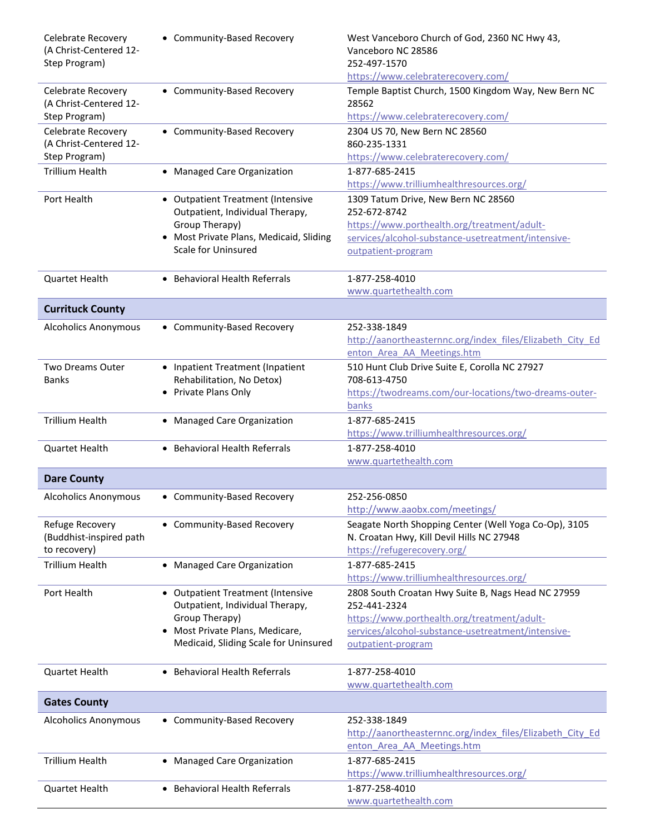| Celebrate Recovery<br>(A Christ-Centered 12-<br>Step Program) | • Community-Based Recovery                                                             | West Vanceboro Church of God, 2360 NC Hwy 43,<br>Vanceboro NC 28586<br>252-497-1570                |
|---------------------------------------------------------------|----------------------------------------------------------------------------------------|----------------------------------------------------------------------------------------------------|
|                                                               |                                                                                        | https://www.celebraterecovery.com/                                                                 |
| Celebrate Recovery<br>(A Christ-Centered 12-                  | • Community-Based Recovery                                                             | Temple Baptist Church, 1500 Kingdom Way, New Bern NC<br>28562                                      |
| Step Program)                                                 |                                                                                        | https://www.celebraterecovery.com/                                                                 |
| <b>Celebrate Recovery</b><br>(A Christ-Centered 12-           | • Community-Based Recovery                                                             | 2304 US 70, New Bern NC 28560<br>860-235-1331                                                      |
| Step Program)                                                 |                                                                                        | https://www.celebraterecovery.com/                                                                 |
| <b>Trillium Health</b>                                        | • Managed Care Organization                                                            | 1-877-685-2415<br>https://www.trilliumhealthresources.org/                                         |
| Port Health                                                   | • Outpatient Treatment (Intensive<br>Outpatient, Individual Therapy,<br>Group Therapy) | 1309 Tatum Drive, New Bern NC 28560<br>252-672-8742                                                |
|                                                               |                                                                                        | https://www.porthealth.org/treatment/adult-                                                        |
|                                                               | • Most Private Plans, Medicaid, Sliding<br>Scale for Uninsured                         | services/alcohol-substance-usetreatment/intensive-                                                 |
|                                                               |                                                                                        | outpatient-program                                                                                 |
| <b>Quartet Health</b>                                         | • Behavioral Health Referrals                                                          | 1-877-258-4010<br>www.quartethealth.com                                                            |
| <b>Currituck County</b>                                       |                                                                                        |                                                                                                    |
|                                                               |                                                                                        |                                                                                                    |
| <b>Alcoholics Anonymous</b>                                   | • Community-Based Recovery                                                             | 252-338-1849                                                                                       |
|                                                               |                                                                                        | http://aanortheasternnc.org/index files/Elizabeth City Ed                                          |
|                                                               |                                                                                        | enton Area AA Meetings.htm                                                                         |
| Two Dreams Outer                                              | • Inpatient Treatment (Inpatient                                                       | 510 Hunt Club Drive Suite E, Corolla NC 27927                                                      |
| <b>Banks</b>                                                  | Rehabilitation, No Detox)                                                              | 708-613-4750                                                                                       |
|                                                               | Private Plans Only<br>$\bullet$                                                        | https://twodreams.com/our-locations/two-dreams-outer-                                              |
|                                                               |                                                                                        | banks                                                                                              |
| <b>Trillium Health</b>                                        | • Managed Care Organization                                                            | 1-877-685-2415                                                                                     |
|                                                               |                                                                                        | https://www.trilliumhealthresources.org/                                                           |
| <b>Quartet Health</b>                                         | • Behavioral Health Referrals                                                          | 1-877-258-4010                                                                                     |
|                                                               |                                                                                        | www.quartethealth.com                                                                              |
| <b>Dare County</b>                                            |                                                                                        |                                                                                                    |
| <b>Alcoholics Anonymous</b>                                   | • Community-Based Recovery                                                             | 252-256-0850<br>http://www.aaobx.com/meetings/                                                     |
| Refuge Recovery<br>(Buddhist-inspired path                    | • Community-Based Recovery                                                             | Seagate North Shopping Center (Well Yoga Co-Op), 3105<br>N. Croatan Hwy, Kill Devil Hills NC 27948 |
| to recovery)                                                  |                                                                                        | https://refugerecovery.org/                                                                        |
| <b>Trillium Health</b>                                        | • Managed Care Organization                                                            | 1-877-685-2415                                                                                     |
|                                                               |                                                                                        | https://www.trilliumhealthresources.org/                                                           |
| Port Health                                                   | • Outpatient Treatment (Intensive<br>Outpatient, Individual Therapy,                   | 2808 South Croatan Hwy Suite B, Nags Head NC 27959<br>252-441-2324                                 |
|                                                               | Group Therapy)                                                                         | https://www.porthealth.org/treatment/adult-                                                        |
|                                                               | Most Private Plans, Medicare,<br>$\bullet$                                             | services/alcohol-substance-usetreatment/intensive-                                                 |
|                                                               | Medicaid, Sliding Scale for Uninsured                                                  | outpatient-program                                                                                 |
| <b>Quartet Health</b>                                         | <b>Behavioral Health Referrals</b><br>$\bullet$                                        | 1-877-258-4010                                                                                     |
|                                                               |                                                                                        | www.quartethealth.com                                                                              |
| <b>Gates County</b>                                           |                                                                                        |                                                                                                    |
| <b>Alcoholics Anonymous</b>                                   | • Community-Based Recovery                                                             | 252-338-1849                                                                                       |
|                                                               |                                                                                        | http://aanortheasternnc.org/index files/Elizabeth City Ed                                          |
|                                                               |                                                                                        | enton Area AA Meetings.htm                                                                         |
| <b>Trillium Health</b>                                        | • Managed Care Organization                                                            | 1-877-685-2415                                                                                     |
|                                                               |                                                                                        | https://www.trilliumhealthresources.org/                                                           |
| Quartet Health                                                | • Behavioral Health Referrals                                                          | 1-877-258-4010                                                                                     |
|                                                               |                                                                                        | www.quartethealth.com                                                                              |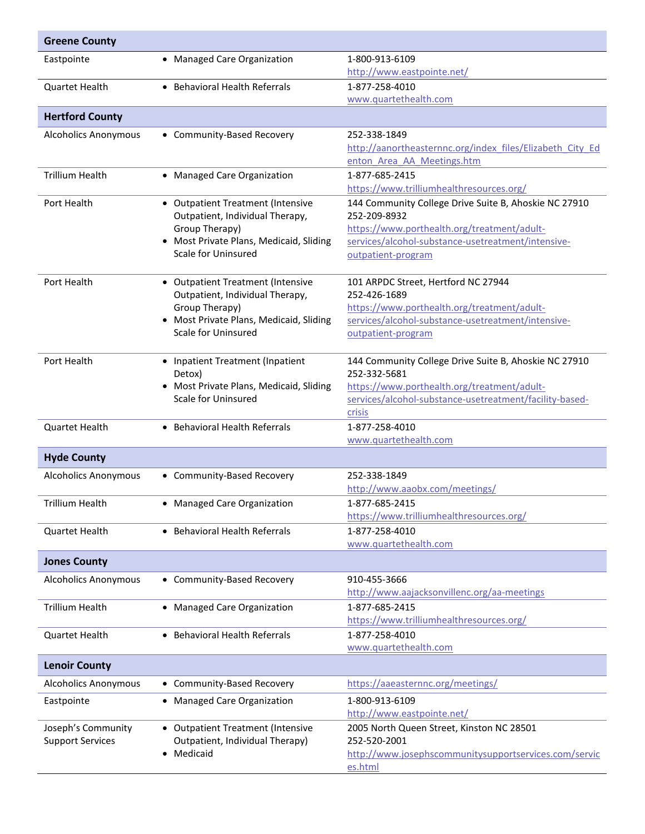| <b>Greene County</b>        |                                                         |                                                                                         |
|-----------------------------|---------------------------------------------------------|-----------------------------------------------------------------------------------------|
| Eastpointe                  | • Managed Care Organization                             | 1-800-913-6109                                                                          |
|                             |                                                         | http://www.eastpointe.net/                                                              |
| <b>Quartet Health</b>       | • Behavioral Health Referrals                           | 1-877-258-4010                                                                          |
|                             |                                                         | www.quartethealth.com                                                                   |
| <b>Hertford County</b>      |                                                         |                                                                                         |
| <b>Alcoholics Anonymous</b> | • Community-Based Recovery                              | 252-338-1849                                                                            |
|                             |                                                         | http://aanortheasternnc.org/index files/Elizabeth City Ed<br>enton Area AA Meetings.htm |
| <b>Trillium Health</b>      | • Managed Care Organization                             | 1-877-685-2415                                                                          |
|                             |                                                         | https://www.trilliumhealthresources.org/                                                |
| Port Health                 | • Outpatient Treatment (Intensive                       | 144 Community College Drive Suite B, Ahoskie NC 27910                                   |
|                             | Outpatient, Individual Therapy,                         | 252-209-8932                                                                            |
|                             | Group Therapy)<br>Most Private Plans, Medicaid, Sliding | https://www.porthealth.org/treatment/adult-                                             |
|                             | Scale for Uninsured                                     | services/alcohol-substance-usetreatment/intensive-<br>outpatient-program                |
|                             |                                                         |                                                                                         |
| Port Health                 | • Outpatient Treatment (Intensive                       | 101 ARPDC Street, Hertford NC 27944                                                     |
|                             | Outpatient, Individual Therapy,                         | 252-426-1689                                                                            |
|                             | Group Therapy)                                          | https://www.porthealth.org/treatment/adult-                                             |
|                             | • Most Private Plans, Medicaid, Sliding                 | services/alcohol-substance-usetreatment/intensive-                                      |
|                             | Scale for Uninsured                                     | outpatient-program                                                                      |
| Port Health                 |                                                         |                                                                                         |
|                             | • Inpatient Treatment (Inpatient<br>Detox)              | 144 Community College Drive Suite B, Ahoskie NC 27910<br>252-332-5681                   |
|                             | • Most Private Plans, Medicaid, Sliding                 | https://www.porthealth.org/treatment/adult-                                             |
|                             | Scale for Uninsured                                     | services/alcohol-substance-usetreatment/facility-based-                                 |
|                             |                                                         | crisis                                                                                  |
| Quartet Health              | • Behavioral Health Referrals                           | 1-877-258-4010                                                                          |
|                             |                                                         | www.quartethealth.com                                                                   |
| <b>Hyde County</b>          |                                                         |                                                                                         |
| <b>Alcoholics Anonymous</b> | • Community-Based Recovery                              | 252-338-1849                                                                            |
|                             |                                                         | http://www.aaobx.com/meetings/                                                          |
| Trillium Health             | • Managed Care Organization                             | 1-877-685-2415                                                                          |
|                             |                                                         | https://www.trilliumhealthresources.org/                                                |
| Quartet Health              | • Behavioral Health Referrals                           | 1-877-258-4010                                                                          |
|                             |                                                         | www.quartethealth.com                                                                   |
| <b>Jones County</b>         |                                                         |                                                                                         |
| <b>Alcoholics Anonymous</b> | • Community-Based Recovery                              | 910-455-3666                                                                            |
|                             |                                                         | http://www.aajacksonvillenc.org/aa-meetings                                             |
| <b>Trillium Health</b>      | • Managed Care Organization                             | 1-877-685-2415                                                                          |
|                             |                                                         | https://www.trilliumhealthresources.org/                                                |
| Quartet Health              | • Behavioral Health Referrals                           | 1-877-258-4010<br>www.quartethealth.com                                                 |
| <b>Lenoir County</b>        |                                                         |                                                                                         |
|                             |                                                         |                                                                                         |
| <b>Alcoholics Anonymous</b> | • Community-Based Recovery                              | https://aaeasternnc.org/meetings/                                                       |
| Eastpointe                  | • Managed Care Organization                             | 1-800-913-6109<br>http://www.eastpointe.net/                                            |
| Joseph's Community          | • Outpatient Treatment (Intensive                       | 2005 North Queen Street, Kinston NC 28501                                               |
| <b>Support Services</b>     | Outpatient, Individual Therapy)                         | 252-520-2001                                                                            |
|                             | Medicaid                                                | http://www.josephscommunitysupportservices.com/servic                                   |
|                             |                                                         | es.html                                                                                 |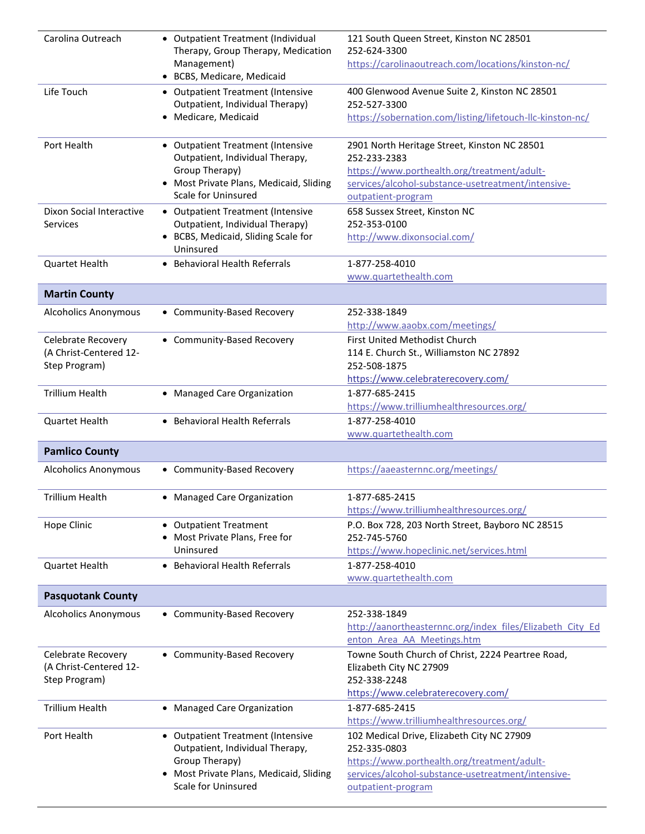| Carolina Outreach           | • Outpatient Treatment (Individual<br>Therapy, Group Therapy, Medication<br>Management)<br>• BCBS, Medicare, Medicaid | 121 South Queen Street, Kinston NC 28501<br>252-624-3300<br>https://carolinaoutreach.com/locations/kinston-nc/ |
|-----------------------------|-----------------------------------------------------------------------------------------------------------------------|----------------------------------------------------------------------------------------------------------------|
| Life Touch                  | • Outpatient Treatment (Intensive                                                                                     | 400 Glenwood Avenue Suite 2, Kinston NC 28501                                                                  |
|                             | Outpatient, Individual Therapy)                                                                                       | 252-527-3300                                                                                                   |
|                             | Medicare, Medicaid                                                                                                    | https://sobernation.com/listing/lifetouch-Ilc-kinston-nc/                                                      |
| Port Health                 | • Outpatient Treatment (Intensive                                                                                     | 2901 North Heritage Street, Kinston NC 28501                                                                   |
|                             | Outpatient, Individual Therapy,                                                                                       | 252-233-2383                                                                                                   |
|                             | Group Therapy)                                                                                                        | https://www.porthealth.org/treatment/adult-                                                                    |
|                             | • Most Private Plans, Medicaid, Sliding                                                                               | services/alcohol-substance-usetreatment/intensive-                                                             |
|                             | Scale for Uninsured                                                                                                   | outpatient-program                                                                                             |
| Dixon Social Interactive    | • Outpatient Treatment (Intensive                                                                                     | 658 Sussex Street, Kinston NC<br>252-353-0100                                                                  |
| Services                    | Outpatient, Individual Therapy)<br>• BCBS, Medicaid, Sliding Scale for                                                | http://www.dixonsocial.com/                                                                                    |
|                             | Uninsured                                                                                                             |                                                                                                                |
| Quartet Health              | • Behavioral Health Referrals                                                                                         | 1-877-258-4010                                                                                                 |
|                             |                                                                                                                       | www.quartethealth.com                                                                                          |
| <b>Martin County</b>        |                                                                                                                       |                                                                                                                |
| <b>Alcoholics Anonymous</b> | • Community-Based Recovery                                                                                            | 252-338-1849                                                                                                   |
|                             |                                                                                                                       | http://www.aaobx.com/meetings/                                                                                 |
| Celebrate Recovery          | • Community-Based Recovery                                                                                            | First United Methodist Church                                                                                  |
| (A Christ-Centered 12-      |                                                                                                                       | 114 E. Church St., Williamston NC 27892                                                                        |
| Step Program)               |                                                                                                                       | 252-508-1875                                                                                                   |
|                             |                                                                                                                       | https://www.celebraterecovery.com/                                                                             |
| <b>Trillium Health</b>      | • Managed Care Organization                                                                                           | 1-877-685-2415                                                                                                 |
|                             |                                                                                                                       | https://www.trilliumhealthresources.org/                                                                       |
| Quartet Health              | • Behavioral Health Referrals                                                                                         | 1-877-258-4010<br>www.quartethealth.com                                                                        |
|                             |                                                                                                                       |                                                                                                                |
|                             |                                                                                                                       |                                                                                                                |
| <b>Pamlico County</b>       |                                                                                                                       |                                                                                                                |
| <b>Alcoholics Anonymous</b> | • Community-Based Recovery                                                                                            | https://aaeasternnc.org/meetings/                                                                              |
| <b>Trillium Health</b>      | • Managed Care Organization                                                                                           | 1-877-685-2415                                                                                                 |
|                             |                                                                                                                       | https://www.trilliumhealthresources.org/                                                                       |
| Hope Clinic                 | <b>Outpatient Treatment</b>                                                                                           | P.O. Box 728, 203 North Street, Bayboro NC 28515                                                               |
|                             | Most Private Plans, Free for                                                                                          | 252-745-5760                                                                                                   |
|                             | Uninsured                                                                                                             | https://www.hopeclinic.net/services.html                                                                       |
| Quartet Health              | • Behavioral Health Referrals                                                                                         | 1-877-258-4010                                                                                                 |
|                             |                                                                                                                       | www.quartethealth.com                                                                                          |
| <b>Pasquotank County</b>    |                                                                                                                       |                                                                                                                |
| <b>Alcoholics Anonymous</b> | • Community-Based Recovery                                                                                            | 252-338-1849                                                                                                   |
|                             |                                                                                                                       | http://aanortheasternnc.org/index files/Elizabeth City Ed                                                      |
|                             |                                                                                                                       | enton Area AA Meetings.htm                                                                                     |
| Celebrate Recovery          | • Community-Based Recovery                                                                                            | Towne South Church of Christ, 2224 Peartree Road,                                                              |
| (A Christ-Centered 12-      |                                                                                                                       | Elizabeth City NC 27909                                                                                        |
| Step Program)               |                                                                                                                       | 252-338-2248                                                                                                   |
|                             |                                                                                                                       | https://www.celebraterecovery.com/                                                                             |
| <b>Trillium Health</b>      | • Managed Care Organization                                                                                           | 1-877-685-2415                                                                                                 |
|                             |                                                                                                                       | https://www.trilliumhealthresources.org/                                                                       |
| Port Health                 | • Outpatient Treatment (Intensive                                                                                     | 102 Medical Drive, Elizabeth City NC 27909                                                                     |
|                             | Outpatient, Individual Therapy,                                                                                       | 252-335-0803                                                                                                   |
|                             | Group Therapy)                                                                                                        | https://www.porthealth.org/treatment/adult-                                                                    |
|                             | • Most Private Plans, Medicaid, Sliding<br>Scale for Uninsured                                                        | services/alcohol-substance-usetreatment/intensive-<br>outpatient-program                                       |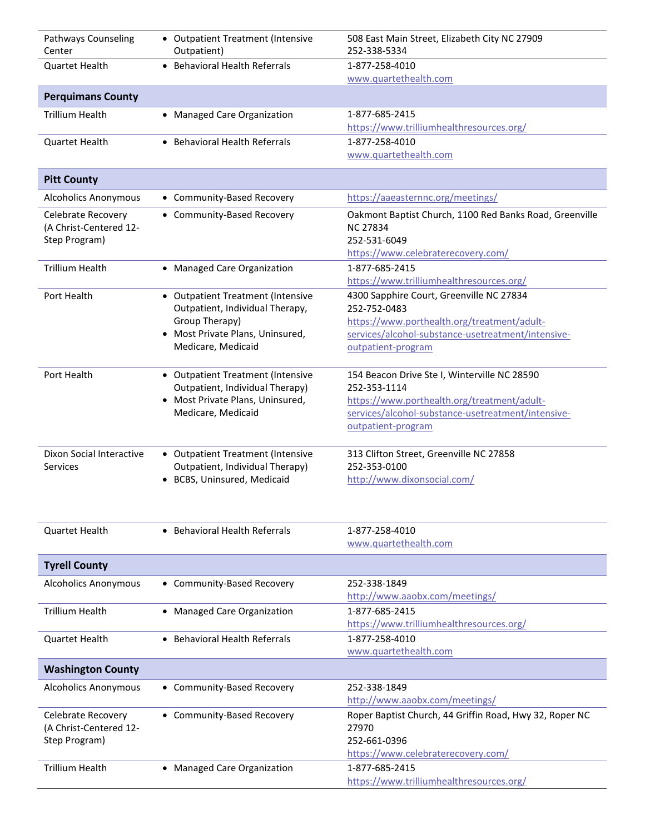| <b>Pathways Counseling</b><br>Center                          | • Outpatient Treatment (Intensive<br>Outpatient)                                                                                               | 508 East Main Street, Elizabeth City NC 27909<br>252-338-5334                                                                                                                           |
|---------------------------------------------------------------|------------------------------------------------------------------------------------------------------------------------------------------------|-----------------------------------------------------------------------------------------------------------------------------------------------------------------------------------------|
| <b>Ouartet Health</b>                                         | • Behavioral Health Referrals                                                                                                                  | 1-877-258-4010<br>www.quartethealth.com                                                                                                                                                 |
| <b>Perquimans County</b>                                      |                                                                                                                                                |                                                                                                                                                                                         |
| <b>Trillium Health</b>                                        | • Managed Care Organization                                                                                                                    | 1-877-685-2415<br>https://www.trilliumhealthresources.org/                                                                                                                              |
| <b>Quartet Health</b>                                         | • Behavioral Health Referrals                                                                                                                  | 1-877-258-4010<br>www.quartethealth.com                                                                                                                                                 |
| <b>Pitt County</b>                                            |                                                                                                                                                |                                                                                                                                                                                         |
| <b>Alcoholics Anonymous</b>                                   | • Community-Based Recovery                                                                                                                     | https://aaeasternnc.org/meetings/                                                                                                                                                       |
| Celebrate Recovery<br>(A Christ-Centered 12-<br>Step Program) | • Community-Based Recovery                                                                                                                     | Oakmont Baptist Church, 1100 Red Banks Road, Greenville<br><b>NC 27834</b><br>252-531-6049<br>https://www.celebraterecovery.com/                                                        |
| <b>Trillium Health</b>                                        | • Managed Care Organization                                                                                                                    | 1-877-685-2415<br>https://www.trilliumhealthresources.org/                                                                                                                              |
| Port Health                                                   | • Outpatient Treatment (Intensive<br>Outpatient, Individual Therapy,<br>Group Therapy)<br>Most Private Plans, Uninsured,<br>Medicare, Medicaid | 4300 Sapphire Court, Greenville NC 27834<br>252-752-0483<br>https://www.porthealth.org/treatment/adult-<br>services/alcohol-substance-usetreatment/intensive-<br>outpatient-program     |
| Port Health                                                   | • Outpatient Treatment (Intensive<br>Outpatient, Individual Therapy)<br>• Most Private Plans, Uninsured,<br>Medicare, Medicaid                 | 154 Beacon Drive Ste I, Winterville NC 28590<br>252-353-1114<br>https://www.porthealth.org/treatment/adult-<br>services/alcohol-substance-usetreatment/intensive-<br>outpatient-program |
| Dixon Social Interactive<br>Services                          | • Outpatient Treatment (Intensive<br>Outpatient, Individual Therapy)<br>• BCBS, Uninsured, Medicaid                                            | 313 Clifton Street, Greenville NC 27858<br>252-353-0100<br>http://www.dixonsocial.com/                                                                                                  |
| <b>Quartet Health</b>                                         | • Behavioral Health Referrals                                                                                                                  | 1-877-258-4010<br>www.quartethealth.com                                                                                                                                                 |
| <b>Tyrell County</b>                                          |                                                                                                                                                |                                                                                                                                                                                         |
| <b>Alcoholics Anonymous</b>                                   | • Community-Based Recovery                                                                                                                     | 252-338-1849<br>http://www.aaobx.com/meetings/                                                                                                                                          |
| <b>Trillium Health</b>                                        | • Managed Care Organization                                                                                                                    | 1-877-685-2415<br>https://www.trilliumhealthresources.org/                                                                                                                              |
| <b>Quartet Health</b>                                         | <b>Behavioral Health Referrals</b>                                                                                                             | 1-877-258-4010<br>www.quartethealth.com                                                                                                                                                 |
| <b>Washington County</b>                                      |                                                                                                                                                |                                                                                                                                                                                         |
| <b>Alcoholics Anonymous</b>                                   | • Community-Based Recovery                                                                                                                     | 252-338-1849<br>http://www.aaobx.com/meetings/                                                                                                                                          |
| Celebrate Recovery<br>(A Christ-Centered 12-<br>Step Program) | • Community-Based Recovery                                                                                                                     | Roper Baptist Church, 44 Griffin Road, Hwy 32, Roper NC<br>27970<br>252-661-0396<br>https://www.celebraterecovery.com/                                                                  |
| <b>Trillium Health</b>                                        | • Managed Care Organization                                                                                                                    | 1-877-685-2415<br>https://www.trilliumhealthresources.org/                                                                                                                              |